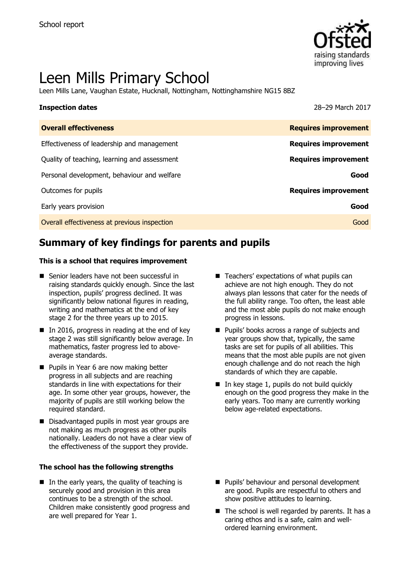

# Leen Mills Primary School

Leen Mills Lane, Vaughan Estate, Hucknall, Nottingham, Nottinghamshire NG15 8BZ

| <b>Inspection dates</b>                    | 28-29 March 2017            |
|--------------------------------------------|-----------------------------|
| <b>Overall effectiveness</b>               | <b>Requires improvement</b> |
| Effectiveness of leadership and management | <b>Requires improvement</b> |

| Quality of teaching, learning and assessment | <b>Requires improvement</b> |
|----------------------------------------------|-----------------------------|
| Personal development, behaviour and welfare  | Good                        |
| Outcomes for pupils                          | <b>Requires improvement</b> |
| Early years provision                        | Good                        |
| Overall effectiveness at previous inspection | Good                        |

# **Summary of key findings for parents and pupils**

### **This is a school that requires improvement**

- Senior leaders have not been successful in raising standards quickly enough. Since the last inspection, pupils' progress declined. It was significantly below national figures in reading, writing and mathematics at the end of key stage 2 for the three years up to 2015.
- $\blacksquare$  In 2016, progress in reading at the end of key stage 2 was still significantly below average. In mathematics, faster progress led to aboveaverage standards.
- **Pupils in Year 6 are now making better** progress in all subjects and are reaching standards in line with expectations for their age. In some other year groups, however, the majority of pupils are still working below the required standard.
- Disadvantaged pupils in most year groups are not making as much progress as other pupils nationally. Leaders do not have a clear view of the effectiveness of the support they provide.

### **The school has the following strengths**

 $\blacksquare$  In the early years, the quality of teaching is securely good and provision in this area continues to be a strength of the school. Children make consistently good progress and are well prepared for Year 1.

- $\blacksquare$  Teachers' expectations of what pupils can achieve are not high enough. They do not always plan lessons that cater for the needs of the full ability range. Too often, the least able and the most able pupils do not make enough progress in lessons.
- **Pupils' books across a range of subjects and** year groups show that, typically, the same tasks are set for pupils of all abilities. This means that the most able pupils are not given enough challenge and do not reach the high standards of which they are capable.
- $\blacksquare$  In key stage 1, pupils do not build quickly enough on the good progress they make in the early years. Too many are currently working below age-related expectations.

- **Pupils' behaviour and personal development** are good. Pupils are respectful to others and show positive attitudes to learning.
- $\blacksquare$  The school is well regarded by parents. It has a caring ethos and is a safe, calm and wellordered learning environment.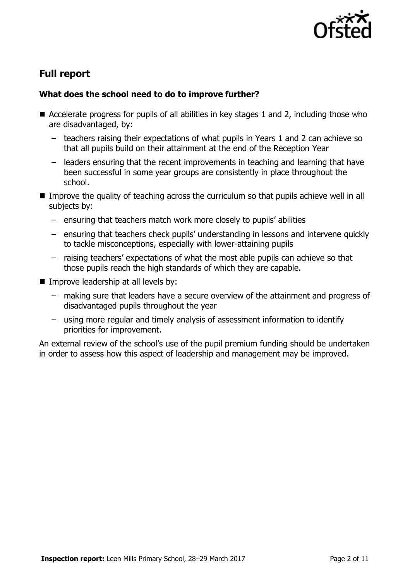

# **Full report**

### **What does the school need to do to improve further?**

- Accelerate progress for pupils of all abilities in key stages 1 and 2, including those who are disadvantaged, by:
	- teachers raising their expectations of what pupils in Years 1 and 2 can achieve so that all pupils build on their attainment at the end of the Reception Year
	- leaders ensuring that the recent improvements in teaching and learning that have been successful in some year groups are consistently in place throughout the school.
- **IMPROVE the quality of teaching across the curriculum so that pupils achieve well in all** subjects by:
	- ensuring that teachers match work more closely to pupils' abilities
	- ensuring that teachers check pupils' understanding in lessons and intervene quickly to tackle misconceptions, especially with lower-attaining pupils
	- raising teachers' expectations of what the most able pupils can achieve so that those pupils reach the high standards of which they are capable.
- $\blacksquare$  Improve leadership at all levels by:
	- making sure that leaders have a secure overview of the attainment and progress of disadvantaged pupils throughout the year
	- using more regular and timely analysis of assessment information to identify priorities for improvement.

An external review of the school's use of the pupil premium funding should be undertaken in order to assess how this aspect of leadership and management may be improved.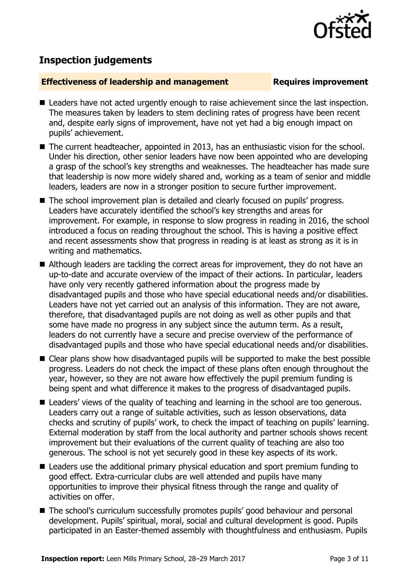

# **Inspection judgements**

### **Effectiveness of leadership and management Requires improvement**

- Leaders have not acted urgently enough to raise achievement since the last inspection. The measures taken by leaders to stem declining rates of progress have been recent and, despite early signs of improvement, have not yet had a big enough impact on pupils' achievement.
- The current headteacher, appointed in 2013, has an enthusiastic vision for the school. Under his direction, other senior leaders have now been appointed who are developing a grasp of the school's key strengths and weaknesses. The headteacher has made sure that leadership is now more widely shared and, working as a team of senior and middle leaders, leaders are now in a stronger position to secure further improvement.
- The school improvement plan is detailed and clearly focused on pupils' progress. Leaders have accurately identified the school's key strengths and areas for improvement. For example, in response to slow progress in reading in 2016, the school introduced a focus on reading throughout the school. This is having a positive effect and recent assessments show that progress in reading is at least as strong as it is in writing and mathematics.
- Although leaders are tackling the correct areas for improvement, they do not have an up-to-date and accurate overview of the impact of their actions. In particular, leaders have only very recently gathered information about the progress made by disadvantaged pupils and those who have special educational needs and/or disabilities. Leaders have not yet carried out an analysis of this information. They are not aware, therefore, that disadvantaged pupils are not doing as well as other pupils and that some have made no progress in any subject since the autumn term. As a result, leaders do not currently have a secure and precise overview of the performance of disadvantaged pupils and those who have special educational needs and/or disabilities.
- Clear plans show how disadvantaged pupils will be supported to make the best possible progress. Leaders do not check the impact of these plans often enough throughout the year, however, so they are not aware how effectively the pupil premium funding is being spent and what difference it makes to the progress of disadvantaged pupils.
- Leaders' views of the quality of teaching and learning in the school are too generous. Leaders carry out a range of suitable activities, such as lesson observations, data checks and scrutiny of pupils' work, to check the impact of teaching on pupils' learning. External moderation by staff from the local authority and partner schools shows recent improvement but their evaluations of the current quality of teaching are also too generous. The school is not yet securely good in these key aspects of its work.
- Leaders use the additional primary physical education and sport premium funding to good effect. Extra-curricular clubs are well attended and pupils have many opportunities to improve their physical fitness through the range and quality of activities on offer.
- The school's curriculum successfully promotes pupils' good behaviour and personal development. Pupils' spiritual, moral, social and cultural development is good. Pupils participated in an Easter-themed assembly with thoughtfulness and enthusiasm. Pupils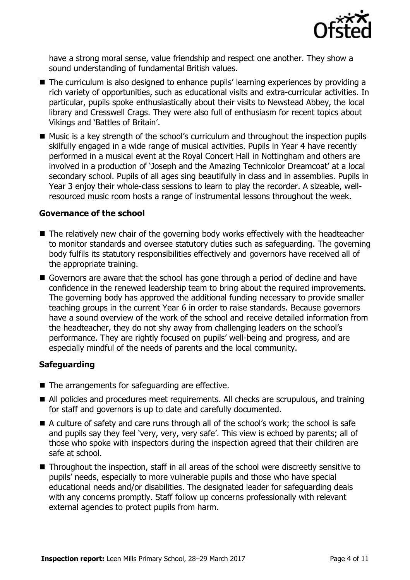

have a strong moral sense, value friendship and respect one another. They show a sound understanding of fundamental British values.

- The curriculum is also designed to enhance pupils' learning experiences by providing a rich variety of opportunities, such as educational visits and extra-curricular activities. In particular, pupils spoke enthusiastically about their visits to Newstead Abbey, the local library and Cresswell Crags. They were also full of enthusiasm for recent topics about Vikings and 'Battles of Britain'.
- Music is a key strength of the school's curriculum and throughout the inspection pupils skilfully engaged in a wide range of musical activities. Pupils in Year 4 have recently performed in a musical event at the Royal Concert Hall in Nottingham and others are involved in a production of 'Joseph and the Amazing Technicolor Dreamcoat' at a local secondary school. Pupils of all ages sing beautifully in class and in assemblies. Pupils in Year 3 enjoy their whole-class sessions to learn to play the recorder. A sizeable, wellresourced music room hosts a range of instrumental lessons throughout the week.

### **Governance of the school**

- The relatively new chair of the governing body works effectively with the headteacher to monitor standards and oversee statutory duties such as safeguarding. The governing body fulfils its statutory responsibilities effectively and governors have received all of the appropriate training.
- Governors are aware that the school has gone through a period of decline and have confidence in the renewed leadership team to bring about the required improvements. The governing body has approved the additional funding necessary to provide smaller teaching groups in the current Year 6 in order to raise standards. Because governors have a sound overview of the work of the school and receive detailed information from the headteacher, they do not shy away from challenging leaders on the school's performance. They are rightly focused on pupils' well-being and progress, and are especially mindful of the needs of parents and the local community.

### **Safeguarding**

- The arrangements for safeguarding are effective.
- All policies and procedures meet requirements. All checks are scrupulous, and training for staff and governors is up to date and carefully documented.
- A culture of safety and care runs through all of the school's work; the school is safe and pupils say they feel 'very, very, very safe'. This view is echoed by parents; all of those who spoke with inspectors during the inspection agreed that their children are safe at school.
- Throughout the inspection, staff in all areas of the school were discreetly sensitive to pupils' needs, especially to more vulnerable pupils and those who have special educational needs and/or disabilities. The designated leader for safeguarding deals with any concerns promptly. Staff follow up concerns professionally with relevant external agencies to protect pupils from harm.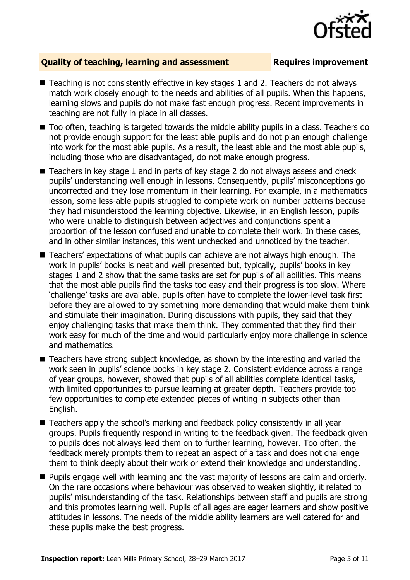

### **Quality of teaching, learning and assessment Requires improvement**

- Teaching is not consistently effective in key stages 1 and 2. Teachers do not always match work closely enough to the needs and abilities of all pupils. When this happens, learning slows and pupils do not make fast enough progress. Recent improvements in teaching are not fully in place in all classes.
- Too often, teaching is targeted towards the middle ability pupils in a class. Teachers do not provide enough support for the least able pupils and do not plan enough challenge into work for the most able pupils. As a result, the least able and the most able pupils, including those who are disadvantaged, do not make enough progress.
- Teachers in key stage 1 and in parts of key stage 2 do not always assess and check pupils' understanding well enough in lessons. Consequently, pupils' misconceptions go uncorrected and they lose momentum in their learning. For example, in a mathematics lesson, some less-able pupils struggled to complete work on number patterns because they had misunderstood the learning objective. Likewise, in an English lesson, pupils who were unable to distinguish between adiectives and conjunctions spent a proportion of the lesson confused and unable to complete their work. In these cases, and in other similar instances, this went unchecked and unnoticed by the teacher.
- Teachers' expectations of what pupils can achieve are not always high enough. The work in pupils' books is neat and well presented but, typically, pupils' books in key stages 1 and 2 show that the same tasks are set for pupils of all abilities. This means that the most able pupils find the tasks too easy and their progress is too slow. Where 'challenge' tasks are available, pupils often have to complete the lower-level task first before they are allowed to try something more demanding that would make them think and stimulate their imagination. During discussions with pupils, they said that they enjoy challenging tasks that make them think. They commented that they find their work easy for much of the time and would particularly enjoy more challenge in science and mathematics.
- Teachers have strong subject knowledge, as shown by the interesting and varied the work seen in pupils' science books in key stage 2. Consistent evidence across a range of year groups, however, showed that pupils of all abilities complete identical tasks, with limited opportunities to pursue learning at greater depth. Teachers provide too few opportunities to complete extended pieces of writing in subjects other than English.
- Teachers apply the school's marking and feedback policy consistently in all year groups. Pupils frequently respond in writing to the feedback given. The feedback given to pupils does not always lead them on to further learning, however. Too often, the feedback merely prompts them to repeat an aspect of a task and does not challenge them to think deeply about their work or extend their knowledge and understanding.
- **Pupils engage well with learning and the vast majority of lessons are calm and orderly.** On the rare occasions where behaviour was observed to weaken slightly, it related to pupils' misunderstanding of the task. Relationships between staff and pupils are strong and this promotes learning well. Pupils of all ages are eager learners and show positive attitudes in lessons. The needs of the middle ability learners are well catered for and these pupils make the best progress.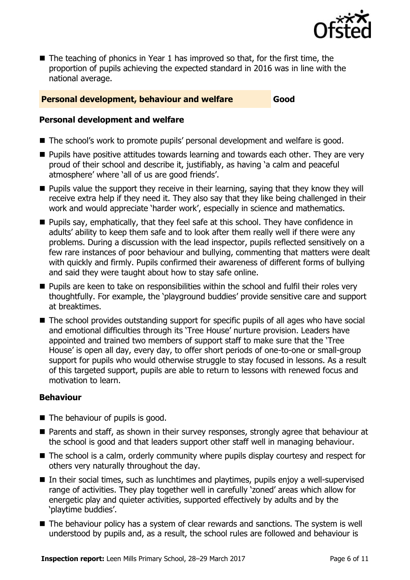

 $\blacksquare$  The teaching of phonics in Year 1 has improved so that, for the first time, the proportion of pupils achieving the expected standard in 2016 was in line with the national average.

### **Personal development, behaviour and welfare Good**

### **Personal development and welfare**

- The school's work to promote pupils' personal development and welfare is good.
- **Pupils have positive attitudes towards learning and towards each other. They are very** proud of their school and describe it, justifiably, as having 'a calm and peaceful atmosphere' where 'all of us are good friends'.
- **Pupils value the support they receive in their learning, saying that they know they will** receive extra help if they need it. They also say that they like being challenged in their work and would appreciate 'harder work', especially in science and mathematics.
- $\blacksquare$  Pupils say, emphatically, that they feel safe at this school. They have confidence in adults' ability to keep them safe and to look after them really well if there were any problems. During a discussion with the lead inspector, pupils reflected sensitively on a few rare instances of poor behaviour and bullying, commenting that matters were dealt with quickly and firmly. Pupils confirmed their awareness of different forms of bullying and said they were taught about how to stay safe online.
- **Pupils are keen to take on responsibilities within the school and fulfil their roles very** thoughtfully. For example, the 'playground buddies' provide sensitive care and support at breaktimes.
- The school provides outstanding support for specific pupils of all ages who have social and emotional difficulties through its 'Tree House' nurture provision. Leaders have appointed and trained two members of support staff to make sure that the 'Tree House' is open all day, every day, to offer short periods of one-to-one or small-group support for pupils who would otherwise struggle to stay focused in lessons. As a result of this targeted support, pupils are able to return to lessons with renewed focus and motivation to learn.

### **Behaviour**

- $\blacksquare$  The behaviour of pupils is good.
- Parents and staff, as shown in their survey responses, strongly agree that behaviour at the school is good and that leaders support other staff well in managing behaviour.
- The school is a calm, orderly community where pupils display courtesy and respect for others very naturally throughout the day.
- In their social times, such as lunchtimes and playtimes, pupils enjoy a well-supervised range of activities. They play together well in carefully 'zoned' areas which allow for energetic play and quieter activities, supported effectively by adults and by the 'playtime buddies'.
- The behaviour policy has a system of clear rewards and sanctions. The system is well understood by pupils and, as a result, the school rules are followed and behaviour is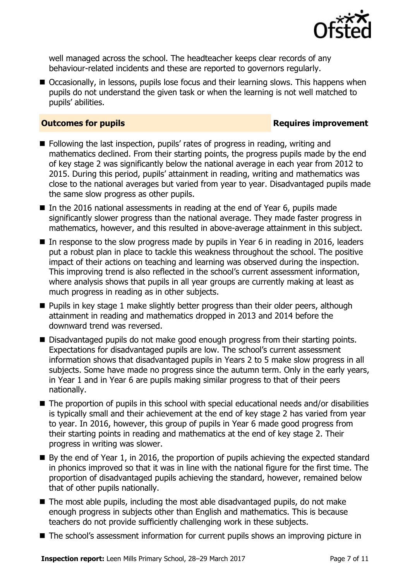

well managed across the school. The headteacher keeps clear records of any behaviour-related incidents and these are reported to governors regularly.

■ Occasionally, in lessons, pupils lose focus and their learning slows. This happens when pupils do not understand the given task or when the learning is not well matched to pupils' abilities.

### **Outcomes for pupils Requires improvement**

- Following the last inspection, pupils' rates of progress in reading, writing and mathematics declined. From their starting points, the progress pupils made by the end of key stage 2 was significantly below the national average in each year from 2012 to 2015. During this period, pupils' attainment in reading, writing and mathematics was close to the national averages but varied from year to year. Disadvantaged pupils made the same slow progress as other pupils.
- In the 2016 national assessments in reading at the end of Year 6, pupils made significantly slower progress than the national average. They made faster progress in mathematics, however, and this resulted in above-average attainment in this subject.
- In response to the slow progress made by pupils in Year 6 in reading in 2016, leaders put a robust plan in place to tackle this weakness throughout the school. The positive impact of their actions on teaching and learning was observed during the inspection. This improving trend is also reflected in the school's current assessment information, where analysis shows that pupils in all year groups are currently making at least as much progress in reading as in other subjects.
- **Pupils in key stage 1 make slightly better progress than their older peers, although** attainment in reading and mathematics dropped in 2013 and 2014 before the downward trend was reversed.
- Disadvantaged pupils do not make good enough progress from their starting points. Expectations for disadvantaged pupils are low. The school's current assessment information shows that disadvantaged pupils in Years 2 to 5 make slow progress in all subjects. Some have made no progress since the autumn term. Only in the early years, in Year 1 and in Year 6 are pupils making similar progress to that of their peers nationally.
- The proportion of pupils in this school with special educational needs and/or disabilities is typically small and their achievement at the end of key stage 2 has varied from year to year. In 2016, however, this group of pupils in Year 6 made good progress from their starting points in reading and mathematics at the end of key stage 2. Their progress in writing was slower.
- By the end of Year 1, in 2016, the proportion of pupils achieving the expected standard in phonics improved so that it was in line with the national figure for the first time. The proportion of disadvantaged pupils achieving the standard, however, remained below that of other pupils nationally.
- $\blacksquare$  The most able pupils, including the most able disadvantaged pupils, do not make enough progress in subjects other than English and mathematics. This is because teachers do not provide sufficiently challenging work in these subjects.
- The school's assessment information for current pupils shows an improving picture in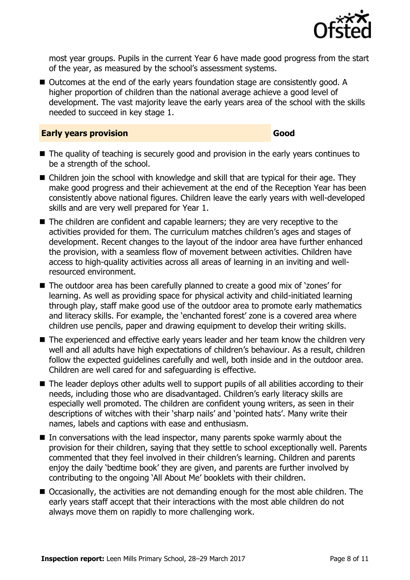

most year groups. Pupils in the current Year 6 have made good progress from the start of the year, as measured by the school's assessment systems.

■ Outcomes at the end of the early years foundation stage are consistently good. A higher proportion of children than the national average achieve a good level of development. The vast majority leave the early years area of the school with the skills needed to succeed in key stage 1.

### **Early years provision Good**

- The quality of teaching is securely good and provision in the early years continues to be a strength of the school.
- Children join the school with knowledge and skill that are typical for their age. They make good progress and their achievement at the end of the Reception Year has been consistently above national figures. Children leave the early years with well-developed skills and are very well prepared for Year 1.
- The children are confident and capable learners; they are very receptive to the activities provided for them. The curriculum matches children's ages and stages of development. Recent changes to the layout of the indoor area have further enhanced the provision, with a seamless flow of movement between activities. Children have access to high-quality activities across all areas of learning in an inviting and wellresourced environment.
- The outdoor area has been carefully planned to create a good mix of 'zones' for learning. As well as providing space for physical activity and child-initiated learning through play, staff make good use of the outdoor area to promote early mathematics and literacy skills. For example, the 'enchanted forest' zone is a covered area where children use pencils, paper and drawing equipment to develop their writing skills.
- The experienced and effective early years leader and her team know the children very well and all adults have high expectations of children's behaviour. As a result, children follow the expected guidelines carefully and well, both inside and in the outdoor area. Children are well cared for and safeguarding is effective.
- The leader deploys other adults well to support pupils of all abilities according to their needs, including those who are disadvantaged. Children's early literacy skills are especially well promoted. The children are confident young writers, as seen in their descriptions of witches with their 'sharp nails' and 'pointed hats'. Many write their names, labels and captions with ease and enthusiasm.
- $\blacksquare$  In conversations with the lead inspector, many parents spoke warmly about the provision for their children, saying that they settle to school exceptionally well. Parents commented that they feel involved in their children's learning. Children and parents enjoy the daily 'bedtime book' they are given, and parents are further involved by contributing to the ongoing 'All About Me' booklets with their children.
- Occasionally, the activities are not demanding enough for the most able children. The early years staff accept that their interactions with the most able children do not always move them on rapidly to more challenging work.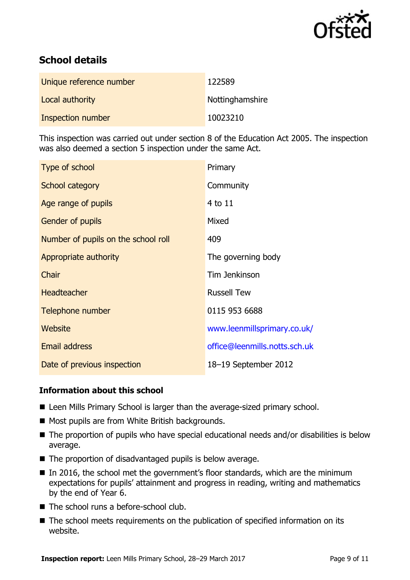

# **School details**

| Unique reference number | 122589          |
|-------------------------|-----------------|
| Local authority         | Nottinghamshire |
| Inspection number       | 10023210        |

This inspection was carried out under section 8 of the Education Act 2005. The inspection was also deemed a section 5 inspection under the same Act.

| Type of school                      | Primary                       |
|-------------------------------------|-------------------------------|
| School category                     | Community                     |
| Age range of pupils                 | 4 to 11                       |
| <b>Gender of pupils</b>             | Mixed                         |
| Number of pupils on the school roll | 409                           |
| Appropriate authority               | The governing body            |
| Chair                               | Tim Jenkinson                 |
| <b>Headteacher</b>                  | <b>Russell Tew</b>            |
| Telephone number                    | 0115 953 6688                 |
| Website                             | www.leenmillsprimary.co.uk/   |
| Email address                       | office@leenmills.notts.sch.uk |
| Date of previous inspection         | 18-19 September 2012          |

### **Information about this school**

- Leen Mills Primary School is larger than the average-sized primary school.
- Most pupils are from White British backgrounds.
- The proportion of pupils who have special educational needs and/or disabilities is below average.
- The proportion of disadvantaged pupils is below average.
- In 2016, the school met the government's floor standards, which are the minimum expectations for pupils' attainment and progress in reading, writing and mathematics by the end of Year 6.
- The school runs a before-school club.
- The school meets requirements on the publication of specified information on its website.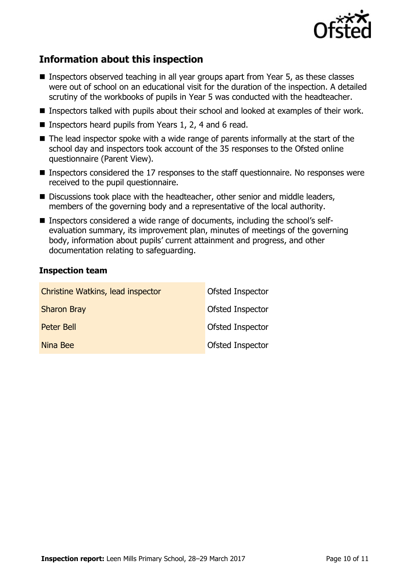

## **Information about this inspection**

- Inspectors observed teaching in all year groups apart from Year 5, as these classes were out of school on an educational visit for the duration of the inspection. A detailed scrutiny of the workbooks of pupils in Year 5 was conducted with the headteacher.
- Inspectors talked with pupils about their school and looked at examples of their work.
- Inspectors heard pupils from Years 1, 2, 4 and 6 read.
- The lead inspector spoke with a wide range of parents informally at the start of the school day and inspectors took account of the 35 responses to the Ofsted online questionnaire (Parent View).
- **Inspectors considered the 17 responses to the staff questionnaire. No responses were** received to the pupil questionnaire.
- Discussions took place with the headteacher, other senior and middle leaders, members of the governing body and a representative of the local authority.
- Inspectors considered a wide range of documents, including the school's selfevaluation summary, its improvement plan, minutes of meetings of the governing body, information about pupils' current attainment and progress, and other documentation relating to safeguarding.

### **Inspection team**

| Christine Watkins, lead inspector | Ofsted Inspector |
|-----------------------------------|------------------|
| <b>Sharon Bray</b>                | Ofsted Inspector |
| Peter Bell                        | Ofsted Inspector |
| Nina Bee                          | Ofsted Inspector |